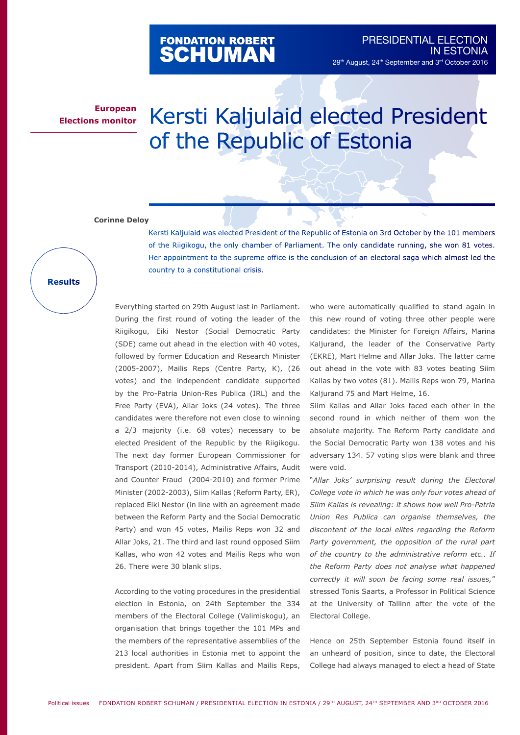## FONDATION ROBERT<br>**SCHUMAN**

**European Elections monitor**

## Kersti Kaljulaid elected President of the Republic of Estonia

## **Corinne Deloy**

Kersti Kaljulaid was elected President of the Republic of Estonia on 3rd October by the 101 members of the Riigikogu, the only chamber of Parliament. The only candidate running, she won 81 votes. Her appointment to the supreme office is the conclusion of an electoral saga which almost led the country to a constitutional crisis.

**Results**

Everything started on 29th August last in Parliament. During the first round of voting the leader of the Riigikogu, Eiki Nestor (Social Democratic Party (SDE) came out ahead in the election with 40 votes, followed by former Education and Research Minister (2005-2007), Mailis Reps (Centre Party, K), (26 votes) and the independent candidate supported by the Pro-Patria Union-Res Publica (IRL) and the Free Party (EVA), Allar Joks (24 votes). The three candidates were therefore not even close to winning a 2/3 majority (i.e. 68 votes) necessary to be elected President of the Republic by the Riigikogu. The next day former European Commissioner for Transport (2010-2014), Administrative Affairs, Audit and Counter Fraud (2004-2010) and former Prime Minister (2002-2003), Siim Kallas (Reform Party, ER), replaced Eiki Nestor (in line with an agreement made between the Reform Party and the Social Democratic Party) and won 45 votes, Mailis Reps won 32 and Allar Joks, 21. The third and last round opposed Siim Kallas, who won 42 votes and Mailis Reps who won 26. There were 30 blank slips.

According to the voting procedures in the presidential election in Estonia, on 24th September the 334 members of the Electoral College (Valimiskogu), an organisation that brings together the 101 MPs and the members of the representative assemblies of the 213 local authorities in Estonia met to appoint the president. Apart from Siim Kallas and Mailis Reps,

who were automatically qualified to stand again in this new round of voting three other people were candidates: the Minister for Foreign Affairs, Marina Kaljurand, the leader of the Conservative Party (EKRE), Mart Helme and Allar Joks. The latter came out ahead in the vote with 83 votes beating Siim Kallas by two votes (81). Mailis Reps won 79, Marina Kaljurand 75 and Mart Helme, 16.

Siim Kallas and Allar Joks faced each other in the second round in which neither of them won the absolute majority. The Reform Party candidate and the Social Democratic Party won 138 votes and his adversary 134. 57 voting slips were blank and three were void.

"*Allar Joks' surprising result during the Electoral College vote in which he was only four votes ahead of Siim Kallas is revealing: it shows how well Pro-Patria Union Res Publica can organise themselves, the discontent of the local elites regarding the Reform Party government, the opposition of the rural part of the country to the administrative reform etc.. If the Reform Party does not analyse what happened correctly it will soon be facing some real issues,*" stressed Tonis Saarts, a Professor in Political Science at the University of Tallinn after the vote of the Electoral College.

Hence on 25th September Estonia found itself in an unheard of position, since to date, the Electoral College had always managed to elect a head of State